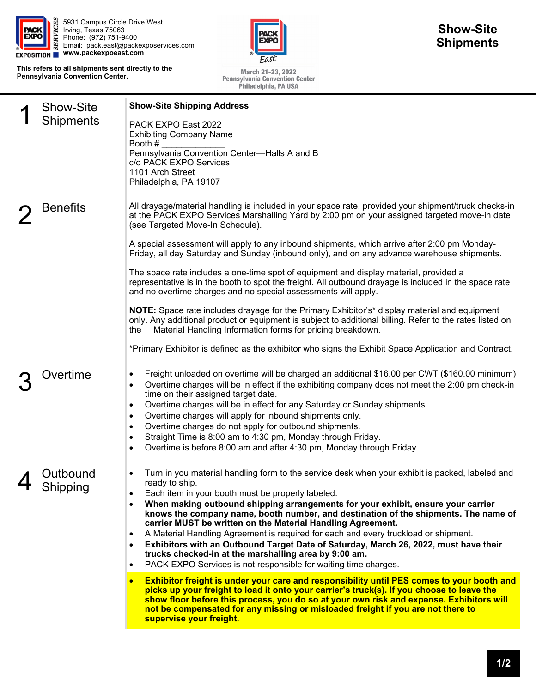

5931 Campus Circle Drive West Irving, Texas 75063 Phone: (972) 751-9400 Email: pack.east@packexposervices.com **www.packexpoeast.com** 

**This refers to all shipments sent directly to the Pennsylvania Convention Center.** 



March 21-23, 2022<br>Pennsylvania Convention Center<br>Philadelphia, PA USA

| <b>Show-Site</b>     | <b>Show-Site Shipping Address</b>                                                                                                                                                                                                                                                                                                                                                                                                                                                                                                                                                                                                                                                                                                                                  |
|----------------------|--------------------------------------------------------------------------------------------------------------------------------------------------------------------------------------------------------------------------------------------------------------------------------------------------------------------------------------------------------------------------------------------------------------------------------------------------------------------------------------------------------------------------------------------------------------------------------------------------------------------------------------------------------------------------------------------------------------------------------------------------------------------|
| Shipments            | PACK EXPO East 2022<br><b>Exhibiting Company Name</b><br>Booth #<br>Pennsylvania Convention Center-Halls A and B<br>c/o PACK EXPO Services<br>1101 Arch Street<br>Philadelphia, PA 19107                                                                                                                                                                                                                                                                                                                                                                                                                                                                                                                                                                           |
| Benefits             | All drayage/material handling is included in your space rate, provided your shipment/truck checks-in<br>at the PACK EXPO Services Marshalling Yard by 2:00 pm on your assigned targeted move-in date<br>(see Targeted Move-In Schedule).                                                                                                                                                                                                                                                                                                                                                                                                                                                                                                                           |
|                      | A special assessment will apply to any inbound shipments, which arrive after 2:00 pm Monday-<br>Friday, all day Saturday and Sunday (inbound only), and on any advance warehouse shipments.                                                                                                                                                                                                                                                                                                                                                                                                                                                                                                                                                                        |
|                      | The space rate includes a one-time spot of equipment and display material, provided a<br>representative is in the booth to spot the freight. All outbound drayage is included in the space rate<br>and no overtime charges and no special assessments will apply.                                                                                                                                                                                                                                                                                                                                                                                                                                                                                                  |
|                      | NOTE: Space rate includes drayage for the Primary Exhibitor's* display material and equipment<br>only. Any additional product or equipment is subject to additional billing. Refer to the rates listed on<br>Material Handling Information forms for pricing breakdown.<br>the                                                                                                                                                                                                                                                                                                                                                                                                                                                                                     |
|                      | *Primary Exhibitor is defined as the exhibitor who signs the Exhibit Space Application and Contract.                                                                                                                                                                                                                                                                                                                                                                                                                                                                                                                                                                                                                                                               |
| Overtime             | Freight unloaded on overtime will be charged an additional \$16.00 per CWT (\$160.00 minimum)<br>$\bullet$<br>Overtime charges will be in effect if the exhibiting company does not meet the 2:00 pm check-in<br>$\bullet$<br>time on their assigned target date.<br>Overtime charges will be in effect for any Saturday or Sunday shipments.<br>$\bullet$<br>Overtime charges will apply for inbound shipments only.<br>٠<br>Overtime charges do not apply for outbound shipments.<br>٠<br>Straight Time is 8:00 am to 4:30 pm, Monday through Friday.<br>٠<br>Overtime is before 8:00 am and after 4:30 pm, Monday through Friday.<br>$\bullet$                                                                                                                  |
| Outbound<br>Shipping | Turn in you material handling form to the service desk when your exhibit is packed, labeled and<br>ready to ship.<br>Each item in your booth must be properly labeled.<br>When making outbound shipping arrangements for your exhibit, ensure your carrier<br>knows the company name, booth number, and destination of the shipments. The name of<br>carrier MUST be written on the Material Handling Agreement.<br>A Material Handling Agreement is required for each and every truckload or shipment.<br>$\bullet$<br>Exhibitors with an Outbound Target Date of Saturday, March 26, 2022, must have their<br>$\bullet$<br>trucks checked-in at the marshalling area by 9:00 am.<br>PACK EXPO Services is not responsible for waiting time charges.<br>$\bullet$ |
|                      | <b>Exhibitor freight is under your care and responsibility until PES comes to your booth and</b><br>$\bullet$<br>picks up your freight to load it onto your carrier's truck(s). If you choose to leave the<br>show floor before this process, you do so at your own risk and expense. Exhibitors will<br>not be compensated for any missing or misloaded freight if you are not there to<br>supervise your freight.                                                                                                                                                                                                                                                                                                                                                |